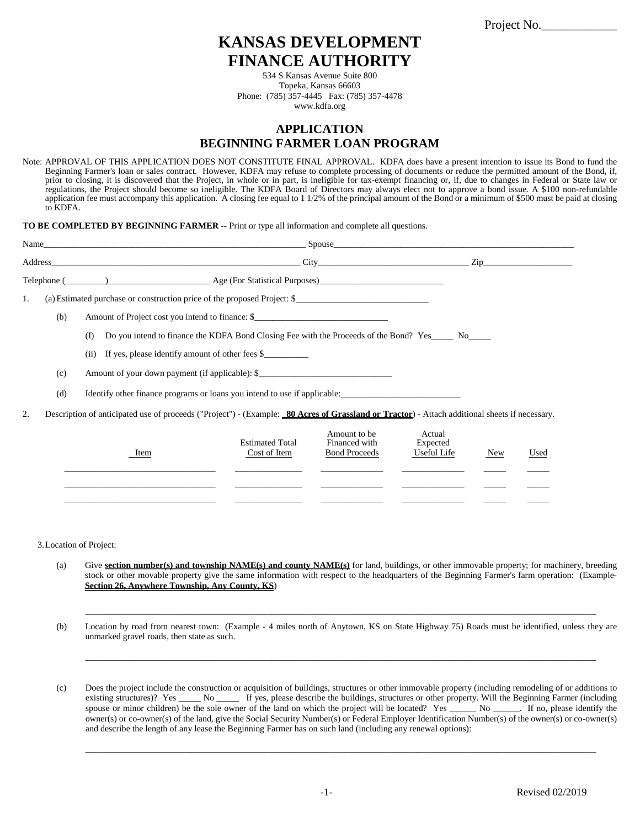Project No.

# **KANSAS DEVELOPMENT FINANCE AUTHORITY**

534 S Kansas Avenue Suite 800 Topeka, Kansas 66603 Phone: (785) 357-4445 Fax: (785) 357-4478 www.kdfa.org

# **APPLICATION BEGINNING FARMER LOAN PROGRAM**

Note: APPROVAL OF THIS APPLICATION DOES NOT CONSTITUTE FINAL APPROVAL. KDFA does have a present intention to issue its Bond to fund the Beginning Farmer's loan or sales contract. However, KDFA may refuse to complete processing of documents or reduce the permitted amount of the Bond, if, prior to closing, it is discovered that the Project, in whole or in part, is ineligible for tax-exempt financing or, if, due to changes in Federal or State law or regulations, the Project should become so ineligible. The KDFA Board of Directors may always elect not to approve a bond issue. A \$100 non-refundable application fee must accompany this application. A closing fee equal to 1 1/2% of the principal amount of the Bond or a minimum of \$500 must be paid at closing to KDFA.

**TO BE COMPLETED BY BEGINNING FARMER** -- Print or type all information and complete all questions.

|    |     | Spouse <b>Spouse Spouse Spouse Spouse Spouse Spouse Spouse Spouse Spouse Spouse Spouse Spouse Spouse Spouse Spouse Spouse Spouse Spouse Spouse Spouse Spouse Spouse Spouse Spouse</b> |                                                                              |                |  |  |
|----|-----|---------------------------------------------------------------------------------------------------------------------------------------------------------------------------------------|------------------------------------------------------------------------------|----------------|--|--|
|    |     | City                                                                                                                                                                                  |                                                                              | $\mathsf{Zip}$ |  |  |
|    |     | Telephone (Channel Age (For Statistical Purposes)                                                                                                                                     |                                                                              |                |  |  |
| 1. |     | (a) Estimated purchase or construction price of the proposed Project: \$                                                                                                              |                                                                              |                |  |  |
|    | (b) | Amount of Project cost you intend to finance: \$                                                                                                                                      |                                                                              |                |  |  |
|    |     | Do you intend to finance the KDFA Bond Closing Fee with the Proceeds of the Bond? Yes No<br>(I)                                                                                       |                                                                              |                |  |  |
|    |     | (ii) If yes, please identify amount of other fees \$                                                                                                                                  |                                                                              |                |  |  |
|    | (c) | Amount of your down payment (if applicable): \$                                                                                                                                       |                                                                              |                |  |  |
|    | (d) | Identify other finance programs or loans you intend to use if applicable:                                                                                                             |                                                                              |                |  |  |
| 2. |     | Description of anticipated use of proceeds ("Project") - (Example: 80 Acres of Grassland or Tractor) - Attach additional sheets if necessary.                                         |                                                                              |                |  |  |
|    |     | $E_{1}$ and $E_{2}$ and $E_{3}$ and $E_{4}$ and $E_{5}$ and $E_{6}$ and $E_{7}$ and $E_{8}$ and $E_{7}$                                                                               | Amount to be<br>$\Gamma$ and $\Gamma$ and $\Gamma$ and $\Gamma$ and $\Gamma$ | Actual         |  |  |

| Item | <b>Estimated Total</b><br>Cost of Item | Amount to be<br>Financed with<br><b>Bond Proceeds</b> | Actual<br>Expected<br>Useful Life | <b>New</b> | Used |
|------|----------------------------------------|-------------------------------------------------------|-----------------------------------|------------|------|
|      |                                        |                                                       |                                   |            |      |

3.Location of Project:

- (a) Give **section number(s) and township NAME(s) and county NAME(s)** for land, buildings, or other immovable property; for machinery, breeding stock or other movable property give the same information with respect to the headquarters of the Beginning Farmer's farm operation: (Example-**Section 26, Anywhere Township, Any County, KS**)
- (b) Location by road from nearest town: (Example 4 miles north of Anytown, KS on State Highway 75) Roads must be identified, unless they are unmarked gravel roads, then state as such.

\_\_\_\_\_\_\_\_\_\_\_\_\_\_\_\_\_\_\_\_\_\_\_\_\_\_\_\_\_\_\_\_\_\_\_\_\_\_\_\_\_\_\_\_\_\_\_\_\_\_\_\_\_\_\_\_\_\_\_\_\_\_\_\_\_\_\_\_\_\_\_\_\_\_\_\_\_\_\_\_\_\_\_\_\_\_\_\_\_\_\_\_\_\_\_\_\_\_\_\_\_\_\_\_\_\_\_\_\_\_\_\_\_\_\_

\_\_\_\_\_\_\_\_\_\_\_\_\_\_\_\_\_\_\_\_\_\_\_\_\_\_\_\_\_\_\_\_\_\_\_\_\_\_\_\_\_\_\_\_\_\_\_\_\_\_\_\_\_\_\_\_\_\_\_\_\_\_\_\_\_\_\_\_\_\_\_\_\_\_\_\_\_\_\_\_\_\_\_\_\_\_\_\_\_\_\_\_\_\_\_\_\_\_\_\_\_\_\_\_\_\_\_\_\_\_\_\_\_\_\_

(c) Does the project include the construction or acquisition of buildings, structures or other immovable property (including remodeling of or additions to existing structures)? Yes \_\_\_\_\_ No \_\_\_\_\_ If yes, please describe the buildings, structures or other property. Will the Beginning Farmer (including spouse or minor children) be the sole owner of the land on which the project will be located? Yes \_\_\_\_\_\_\_ No \_\_\_\_\_\_. If no, please identify the owner(s) or co-owner(s) of the land, give the Social Security Number(s) or Federal Employer Identification Number(s) of the owner(s) or co-owner(s) and describe the length of any lease the Beginning Farmer has on such land (including any renewal options):

\_\_\_\_\_\_\_\_\_\_\_\_\_\_\_\_\_\_\_\_\_\_\_\_\_\_\_\_\_\_\_\_\_\_\_\_\_\_\_\_\_\_\_\_\_\_\_\_\_\_\_\_\_\_\_\_\_\_\_\_\_\_\_\_\_\_\_\_\_\_\_\_\_\_\_\_\_\_\_\_\_\_\_\_\_\_\_\_\_\_\_\_\_\_\_\_\_\_\_\_\_\_\_\_\_\_\_\_\_\_\_\_\_\_\_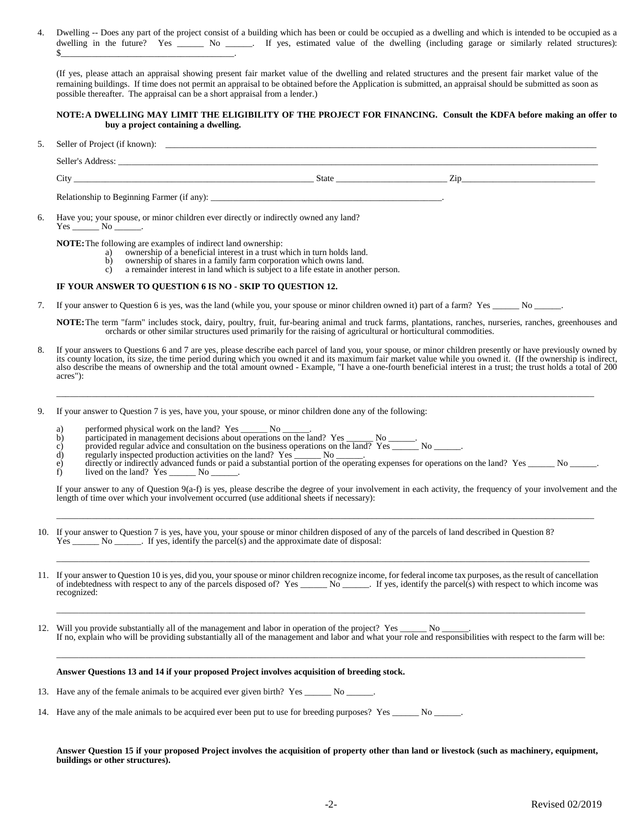4. Dwelling -- Does any part of the project consist of a building which has been or could be occupied as a dwelling and which is intended to be occupied as a dwelling in the future? Yes \_\_\_\_\_\_\_ No \_\_\_\_\_. If yes, estimated value of the dwelling (including garage or similarly related structures):  $\frac{\sqrt{2}}{2}$ 

(If yes, please attach an appraisal showing present fair market value of the dwelling and related structures and the present fair market value of the remaining buildings. If time does not permit an appraisal to be obtained before the Application is submitted, an appraisal should be submitted as soon as possible thereafter. The appraisal can be a short appraisal from a lender.)

### **NOTE:A DWELLING MAY LIMIT THE ELIGIBILITY OF THE PROJECT FOR FINANCING. Consult the KDFA before making an offer to buy a project containing a dwelling.**

5. Seller of Project (if known): \_

Seller's Address: \_\_\_\_\_\_\_\_\_\_\_\_\_\_\_\_\_\_\_\_\_\_\_\_\_\_\_\_\_\_\_\_\_\_\_\_\_\_\_\_\_\_\_\_\_\_\_\_\_\_\_\_\_\_\_\_\_\_\_\_\_\_\_\_\_\_\_\_\_\_\_\_\_\_\_\_\_\_\_\_\_\_\_\_\_\_\_\_\_\_\_\_\_\_\_\_\_\_\_\_\_\_\_\_\_\_\_\_  $\text{State}$   $\text{State}$   $\text{Zip}$ Relationship to Beginning Farmer (if any):  $\_\_$ 6. Have you; your spouse, or minor children ever directly or indirectly owned any land? Yes \_\_\_\_\_\_\_\_ No \_ **NOTE:** The following are examples of indirect land ownership:<br>a) ownership of a beneficial interest in a trust w a) ownership of a beneficial interest in a trust which in turn holds land.<br>b) ownership of shares in a family farm corporation which owns land. b) ownership of shares in a family farm corporation which owns land.<br>c) a remainder interest in land which is subject to a life estate in another a remainder interest in land which is subject to a life estate in another person.

#### **IF YOUR ANSWER TO QUESTION 6 IS NO - SKIP TO QUESTION 12.**

7. If your answer to Question 6 is yes, was the land (while you, your spouse or minor children owned it) part of a farm? Yes \_\_\_\_\_\_ No \_\_\_\_\_\_.

**NOTE:**The term "farm" includes stock, dairy, poultry, fruit, fur-bearing animal and truck farms, plantations, ranches, nurseries, ranches, greenhouses and orchards or other similar structures used primarily for the raising of agricultural or horticultural commodities.

8. If your answers to Questions 6 and 7 are yes, please describe each parcel of land you, your spouse, or minor children presently or have previously owned by its county location, its size, the time period during which you owned it and its maximum fair market value while you owned it. (If the ownership is indirect, also describe the means of ownership and the total amount owned - Example, "I have a one-fourth beneficial interest in a trust; the trust holds a total of 200 acres"):

\_\_\_\_\_\_\_\_\_\_\_\_\_\_\_\_\_\_\_\_\_\_\_\_\_\_\_\_\_\_\_\_\_\_\_\_\_\_\_\_\_\_\_\_\_\_\_\_\_\_\_\_\_\_\_\_\_\_\_\_\_\_\_\_\_\_\_\_\_\_\_\_\_\_\_\_\_\_\_\_\_\_\_\_\_\_\_\_\_\_\_\_\_\_\_\_\_\_\_\_\_\_\_\_\_\_\_\_\_\_\_\_\_\_\_\_\_\_\_\_\_

- 9. If your answer to Question 7 is yes, have you, your spouse, or minor children done any of the following:
	- a) performed physical work on the land? Yes \_\_\_\_\_\_\_ No \_\_\_\_\_\_.
	- b) participated in management decisions about operations on the land? Yes \_\_\_\_\_\_ No \_\_\_\_\_\_.
	- b) participated in management decisions about operations on the land? Yes  $\frac{N_0}{N_1}$  No  $\frac{N_1}{N_2}$  No  $\frac{N_2}{N_3}$  No  $\frac{N_1}{N_2}$  No  $\frac{N_2}{N_3}$  No  $\frac{N_1}{N_1}$  is precised production activities on the land? Y
	- regularly inspected production activities on the land?  $Yes$  \_\_\_\_\_\_ No \_\_\_\_\_\_.
	- e) directly or indirectly advanced funds or paid a substantial portion of the operating expenses for operations on the land? Yes \_\_\_\_\_\_ No \_\_\_\_\_\_.

\_\_\_\_\_\_\_\_\_\_\_\_\_\_\_\_\_\_\_\_\_\_\_\_\_\_\_\_\_\_\_\_\_\_\_\_\_\_\_\_\_\_\_\_\_\_\_\_\_\_\_\_\_\_\_\_\_\_\_\_\_\_\_\_\_\_\_\_\_\_\_\_\_\_\_\_\_\_\_\_\_\_\_\_\_\_\_\_\_\_\_\_\_\_\_\_\_\_\_\_\_\_\_\_\_\_\_\_\_\_\_\_\_\_\_\_\_\_\_\_\_

f) lived on the land? Yes  $\frac{1}{\sqrt{1-\frac{1}{n}}}$  No  $\frac{1}{\sqrt{1-\frac{1}{n}}}$ .

If your answer to any of Question 9(a-f) is yes, please describe the degree of your involvement in each activity, the frequency of your involvement and the length of time over which your involvement occurred (use additional sheets if necessary):

- 10. If your answer to Question 7 is yes, have you, your spouse or minor children disposed of any of the parcels of land described in Question 8?  $Yes \_\_\_\_\_\$ No  $\_\_\_\_\$ . If yes, identify the parcel(s) and the approximate date of disposal:
- 11. If your answer to Question 10 is yes, did you, your spouse or minor children recognize income, for federal income tax purposes, as the result of cancellation of indebtedness with respect to any of the parcels disposed of? Yes \_\_\_\_\_\_ No \_\_\_\_\_. If yes, identify the parcel(s) with respect to which income was recognized:

\_\_\_\_\_\_\_\_\_\_\_\_\_\_\_\_\_\_\_\_\_\_\_\_\_\_\_\_\_\_\_\_\_\_\_\_\_\_\_\_\_\_\_\_\_\_\_\_\_\_\_\_\_\_\_\_\_\_\_\_\_\_\_\_\_\_\_\_\_\_\_\_\_\_\_\_\_\_\_\_\_\_\_\_\_\_\_\_\_\_\_\_\_\_\_\_\_\_\_\_\_\_\_\_\_\_\_\_\_\_\_\_\_\_\_\_\_\_\_\_

12. Will you provide substantially all of the management and labor in operation of the project? Yes \_\_\_\_\_\_ No \_\_\_\_\_\_. If no, explain who will be providing substantially all of the management and labor and what your role and responsibilities with respect to the farm will be:

\_\_\_\_\_\_\_\_\_\_\_\_\_\_\_\_\_\_\_\_\_\_\_\_\_\_\_\_\_\_\_\_\_\_\_\_\_\_\_\_\_\_\_\_\_\_\_\_\_\_\_\_\_\_\_\_\_\_\_\_\_\_\_\_\_\_\_\_\_\_\_\_\_\_\_\_\_\_\_\_\_\_\_\_\_\_\_\_\_\_\_\_\_\_\_\_\_\_\_\_\_\_\_\_\_\_\_\_\_\_\_\_\_\_\_\_\_\_\_

\_\_\_\_\_\_\_\_\_\_\_\_\_\_\_\_\_\_\_\_\_\_\_\_\_\_\_\_\_\_\_\_\_\_\_\_\_\_\_\_\_\_\_\_\_\_\_\_\_\_\_\_\_\_\_\_\_\_\_\_\_\_\_\_\_\_\_\_\_\_\_\_\_\_\_\_\_\_\_\_\_\_\_\_\_\_\_\_\_\_\_\_\_\_\_\_\_\_\_\_\_\_\_\_\_\_\_\_\_\_\_\_\_\_\_\_\_\_\_

# **Answer Questions 13 and 14 if your proposed Project involves acquisition of breeding stock.**

- 13. Have any of the female animals to be acquired ever given birth? Yes \_\_\_\_\_\_\_ No \_\_\_\_\_
- 14. Have any of the male animals to be acquired ever been put to use for breeding purposes? Yes \_\_\_\_\_\_ No \_\_\_\_\_

**Answer Question 15 if your proposed Project involves the acquisition of property other than land or livestock (such as machinery, equipment, buildings or other structures).**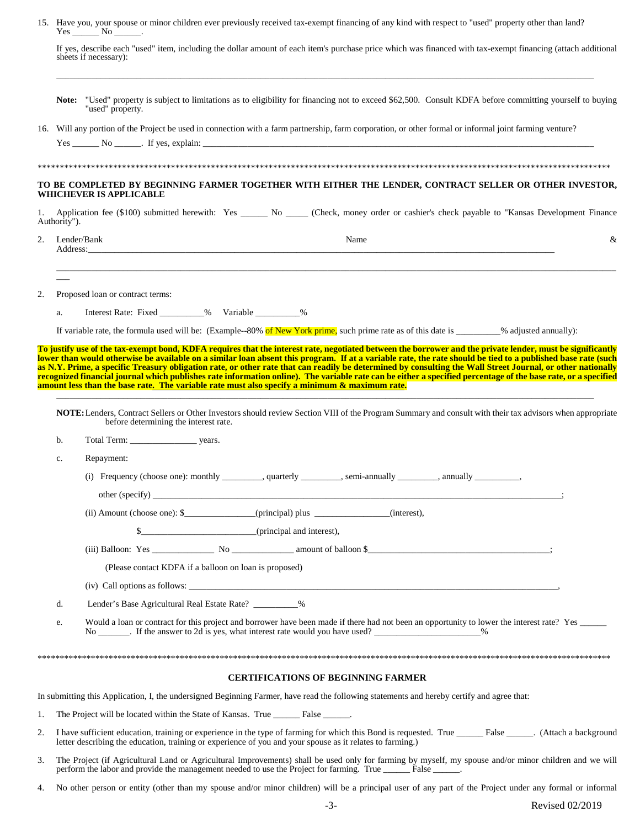|    | 15. Have you, your spouse or minor children ever previously received tax-exempt financing of any kind with respect to "used" property other than land?<br>$Yes \_\_ No \_\_$ .                                                                                             |                                                                                                                                                                                                                                                                         |  |  |  |  |
|----|----------------------------------------------------------------------------------------------------------------------------------------------------------------------------------------------------------------------------------------------------------------------------|-------------------------------------------------------------------------------------------------------------------------------------------------------------------------------------------------------------------------------------------------------------------------|--|--|--|--|
|    |                                                                                                                                                                                                                                                                            | If yes, describe each "used" item, including the dollar amount of each item's purchase price which was financed with tax-exempt financing (attach additional<br>sheets if necessary):                                                                                   |  |  |  |  |
|    |                                                                                                                                                                                                                                                                            | Note: "Used" property is subject to limitations as to eligibility for financing not to exceed \$62,500. Consult KDFA before committing yourself to buying<br>"used" property.                                                                                           |  |  |  |  |
|    |                                                                                                                                                                                                                                                                            | 16. Will any portion of the Project be used in connection with a farm partnership, farm corporation, or other formal or informal joint farming venture?                                                                                                                 |  |  |  |  |
|    |                                                                                                                                                                                                                                                                            | $Yes \_\_\_\_$ No $\_\_\_\$ . If yes, explain: $\_\_\_\_\_\_\_\_\_\_\_\_$                                                                                                                                                                                               |  |  |  |  |
|    |                                                                                                                                                                                                                                                                            |                                                                                                                                                                                                                                                                         |  |  |  |  |
|    |                                                                                                                                                                                                                                                                            | TO BE COMPLETED BY BEGINNING FARMER TOGETHER WITH EITHER THE LENDER, CONTRACT SELLER OR OTHER INVESTOR,<br>WHICHEVER IS APPLICABLE                                                                                                                                      |  |  |  |  |
| 1. | Authority").                                                                                                                                                                                                                                                               | Application fee (\$100) submitted herewith: Yes ______ No _____ (Check, money order or cashier's check payable to "Kansas Development Finance                                                                                                                           |  |  |  |  |
| 2. |                                                                                                                                                                                                                                                                            | Lender/Bank<br>Name<br>&                                                                                                                                                                                                                                                |  |  |  |  |
| 2. |                                                                                                                                                                                                                                                                            | Proposed loan or contract terms:                                                                                                                                                                                                                                        |  |  |  |  |
|    | a.                                                                                                                                                                                                                                                                         | Interest Rate: Fixed __________% Variable __________%                                                                                                                                                                                                                   |  |  |  |  |
|    |                                                                                                                                                                                                                                                                            | If variable rate, the formula used will be: (Example-80% of New York prime, such prime rate as of this date is _______% adjusted annually):                                                                                                                             |  |  |  |  |
|    |                                                                                                                                                                                                                                                                            | To justify use of the tax-exempt bond, KDFA requires that the interest rate, negotiated between the borrower and the private lender, must be significantly                                                                                                              |  |  |  |  |
|    |                                                                                                                                                                                                                                                                            | NOTE: Lenders, Contract Sellers or Other Investors should review Section VIII of the Program Summary and consult with their tax advisors when appropriate<br>before determining the interest rate.                                                                      |  |  |  |  |
|    | b.                                                                                                                                                                                                                                                                         |                                                                                                                                                                                                                                                                         |  |  |  |  |
|    | c.                                                                                                                                                                                                                                                                         | Repayment:                                                                                                                                                                                                                                                              |  |  |  |  |
|    |                                                                                                                                                                                                                                                                            | (i) Frequency (choose one): monthly _________, quarterly _______, semi-annually _______, annually ________,                                                                                                                                                             |  |  |  |  |
|    |                                                                                                                                                                                                                                                                            |                                                                                                                                                                                                                                                                         |  |  |  |  |
|    |                                                                                                                                                                                                                                                                            | (ii) Amount (choose one): \$______________(principal) plus ____________(interest),                                                                                                                                                                                      |  |  |  |  |
|    |                                                                                                                                                                                                                                                                            |                                                                                                                                                                                                                                                                         |  |  |  |  |
|    |                                                                                                                                                                                                                                                                            |                                                                                                                                                                                                                                                                         |  |  |  |  |
|    |                                                                                                                                                                                                                                                                            | (Please contact KDFA if a balloon on loan is proposed)                                                                                                                                                                                                                  |  |  |  |  |
|    |                                                                                                                                                                                                                                                                            |                                                                                                                                                                                                                                                                         |  |  |  |  |
|    | d.                                                                                                                                                                                                                                                                         | Lender's Base Agricultural Real Estate Rate? __________%                                                                                                                                                                                                                |  |  |  |  |
|    | e.                                                                                                                                                                                                                                                                         | Would a loan or contract for this project and borrower have been made if there had not been an opportunity to lower the interest rate? Yes ______<br>No ________. If the answer to 2d is yes, what interest rate would you have used? _______________________%          |  |  |  |  |
|    |                                                                                                                                                                                                                                                                            |                                                                                                                                                                                                                                                                         |  |  |  |  |
|    |                                                                                                                                                                                                                                                                            | <b>CERTIFICATIONS OF BEGINNING FARMER</b>                                                                                                                                                                                                                               |  |  |  |  |
|    |                                                                                                                                                                                                                                                                            | In submitting this Application, I, the undersigned Beginning Farmer, have read the following statements and hereby certify and agree that:                                                                                                                              |  |  |  |  |
| 1. |                                                                                                                                                                                                                                                                            | The Project will be located within the State of Kansas. True _______ False ______.                                                                                                                                                                                      |  |  |  |  |
| 2. | I have sufficient education, training or experience in the type of farming for which this Bond is requested. True ________ False ______. (Attach a background<br>letter describing the education, training or experience of you and your spouse as it relates to farming.) |                                                                                                                                                                                                                                                                         |  |  |  |  |
| 3. |                                                                                                                                                                                                                                                                            | The Project (if Agricultural Land or Agricultural Improvements) shall be used only for farming by myself, my spouse and/or minor children and we will<br>perform the labor and provide the management needed to use the Project for farming. True _______ False ______. |  |  |  |  |

<sup>4.</sup> No other person or entity (other than my spouse and/or minor children) will be a principal user of any part of the Project under any formal or informal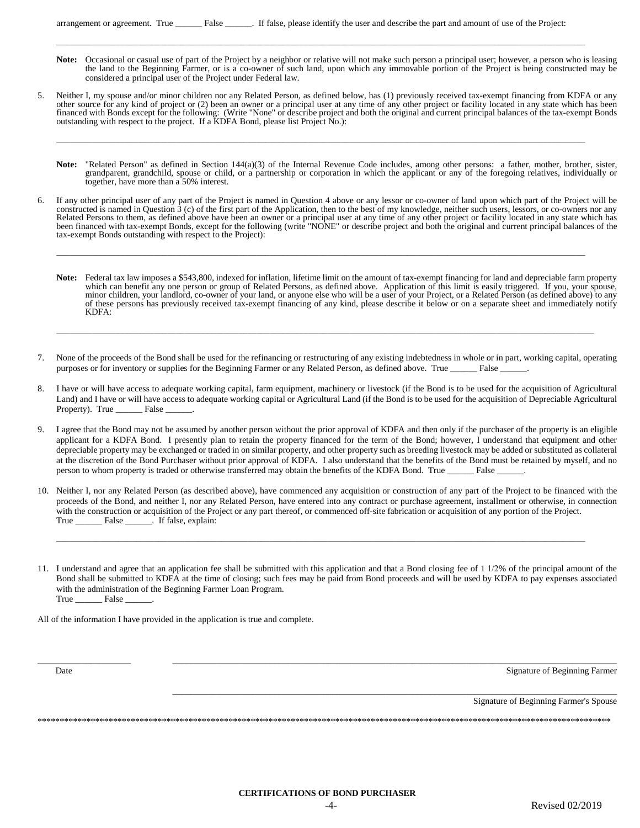\_\_\_\_\_\_\_\_\_\_\_\_\_\_\_\_\_\_\_\_\_\_\_\_\_\_\_\_\_\_\_\_\_\_\_\_\_\_\_\_\_\_\_\_\_\_\_\_\_\_\_\_\_\_\_\_\_\_\_\_\_\_\_\_\_\_\_\_\_\_\_\_\_\_\_\_\_\_\_\_\_\_\_\_\_\_\_\_\_\_\_\_\_\_\_\_\_\_\_\_\_\_\_\_\_\_\_\_\_\_\_\_\_\_\_\_\_\_\_

- Note: Occasional or casual use of part of the Project by a neighbor or relative will not make such person a principal user; however, a person who is leasing the land to the Beginning Farmer, or is a co-owner of such land, upon which any immovable portion of the Project is being constructed may be considered a principal user of the Project under Federal law.
- 5. Neither I, my spouse and/or minor children nor any Related Person, as defined below, has (1) previously received tax-exempt financing from KDFA or any other source for any kind of project or (2) been an owner or a principal user at any time of any other project or facility located in any state which has been financed with Bonds except for the following: (Write "None" or describe project and both the original and current principal balances of the tax-exempt Bonds outstanding with respect to the project. If a KDFA Bond, please list Project No.):

\_\_\_\_\_\_\_\_\_\_\_\_\_\_\_\_\_\_\_\_\_\_\_\_\_\_\_\_\_\_\_\_\_\_\_\_\_\_\_\_\_\_\_\_\_\_\_\_\_\_\_\_\_\_\_\_\_\_\_\_\_\_\_\_\_\_\_\_\_\_\_\_\_\_\_\_\_\_\_\_\_\_\_\_\_\_\_\_\_\_\_\_\_\_\_\_\_\_\_\_\_\_\_\_\_\_\_\_\_\_\_\_\_\_\_\_\_\_\_

- Note: "Related Person" as defined in Section 144(a)(3) of the Internal Revenue Code includes, among other persons: a father, mother, brother, sister, grandparent, grandchild, spouse or child, or a partnership or corporation in which the applicant or any of the foregoing relatives, individually or together, have more than a 50% interest.
- 6. If any other principal user of any part of the Project is named in Question 4 above or any lessor or co-owner of land upon which part of the Project will be constructed is named in Question 3 (c) of the first part of the Application, then to the best of my knowledge, neither such users, lessors, or co-owners nor any Related Persons to them, as defined above have been an owner or a principal user at any time of any other project or facility located in any state which has been financed with tax-exempt Bonds, except for the following (write "NONE" or describe project and both the original and current principal balances of the tax-exempt Bonds outstanding with respect to the Project):

\_\_\_\_\_\_\_\_\_\_\_\_\_\_\_\_\_\_\_\_\_\_\_\_\_\_\_\_\_\_\_\_\_\_\_\_\_\_\_\_\_\_\_\_\_\_\_\_\_\_\_\_\_\_\_\_\_\_\_\_\_\_\_\_\_\_\_\_\_\_\_\_\_\_\_\_\_\_\_\_\_\_\_\_\_\_\_\_\_\_\_\_\_\_\_\_\_\_\_\_\_\_\_\_\_\_\_\_\_\_\_\_\_\_\_\_\_\_\_

- **Note:** Federal tax law imposes a \$543,800, indexed for inflation, lifetime limit on the amount of tax-exempt financing for land and depreciable farm property which can benefit any one person or group of Related Persons, as defined above. Application of this limit is easily triggered. If you, your spouse, minor children, your landlord, co-owner of your land, or anyone else who will be a user of your Project, or a Related Person (as defined above) to any of these persons has previously received tax-exempt financing of any kind, please describe it below or on a separate sheet and immediately notify KDFA:
- None of the proceeds of the Bond shall be used for the refinancing or restructuring of any existing indebtedness in whole or in part, working capital, operating purposes or for inventory or supplies for the Beginning Farmer or any Related Person, as defined above. True \_\_\_\_\_\_ False \_\_\_\_\_\_.

\_\_\_\_\_\_\_\_\_\_\_\_\_\_\_\_\_\_\_\_\_\_\_\_\_\_\_\_\_\_\_\_\_\_\_\_\_\_\_\_\_\_\_\_\_\_\_\_\_\_\_\_\_\_\_\_\_\_\_\_\_\_\_\_\_\_\_\_\_\_\_\_\_\_\_\_\_\_\_\_\_\_\_\_\_\_\_\_\_\_\_\_\_\_\_\_\_\_\_\_\_\_\_\_\_\_\_\_\_\_\_\_\_\_\_\_\_\_\_\_\_

- 8. I have or will have access to adequate working capital, farm equipment, machinery or livestock (if the Bond is to be used for the acquisition of Agricultural Land) and I have or will have access to adequate working capital or Agricultural Land (if the Bond is to be used for the acquisition of Depreciable Agricultural Property). True \_\_\_\_\_\_\_\_ False \_
- I agree that the Bond may not be assumed by another person without the prior approval of KDFA and then only if the purchaser of the property is an eligible applicant for a KDFA Bond. I presently plan to retain the property financed for the term of the Bond; however, I understand that equipment and other depreciable property may be exchanged or traded in on similar property, and other property such as breeding livestock may be added or substituted as collateral at the discretion of the Bond Purchaser without prior approval of KDFA. I also understand that the benefits of the Bond must be retained by myself, and no person to whom property is traded or otherwise transferred may obtain the benefits of the KDFA Bond. True \_\_\_\_\_\_ False \_\_\_\_\_\_.
- 10. Neither I, nor any Related Person (as described above), have commenced any acquisition or construction of any part of the Project to be financed with the proceeds of the Bond, and neither I, nor any Related Person, have entered into any contract or purchase agreement, installment or otherwise, in connection with the construction or acquisition of the Project or any part thereof, or commenced off-site fabrication or acquisition of any portion of the Project. True \_\_\_\_\_\_\_\_\_ False \_\_\_\_\_\_. If false, explain:

\_\_\_\_\_\_\_\_\_\_\_\_\_\_\_\_\_\_\_\_\_\_\_\_\_\_\_\_\_\_\_\_\_\_\_\_\_\_\_\_\_\_\_\_\_\_\_\_\_\_\_\_\_\_\_\_\_\_\_\_\_\_\_\_\_\_\_\_\_\_\_\_\_\_\_\_\_\_\_\_\_\_\_\_\_\_\_\_\_\_\_\_\_\_\_\_\_\_\_\_\_\_\_\_\_\_\_\_\_\_\_\_\_\_\_\_\_\_\_

11. I understand and agree that an application fee shall be submitted with this application and that a Bond closing fee of 1 1/2% of the principal amount of the Bond shall be submitted to KDFA at the time of closing; such fees may be paid from Bond proceeds and will be used by KDFA to pay expenses associated with the administration of the Beginning Farmer Loan Program. True False

\_\_\_\_\_\_\_\_\_\_\_\_\_\_\_\_\_\_\_\_\_ \_\_\_\_\_\_\_\_\_\_\_\_\_\_\_\_\_\_\_\_\_\_\_\_\_\_\_\_\_\_\_\_\_\_\_\_\_\_\_\_\_\_\_\_\_\_\_\_\_\_\_\_\_\_\_\_\_\_\_\_\_\_\_\_\_\_\_\_\_\_\_\_\_\_\_\_\_\_\_\_\_\_\_\_\_\_\_\_\_\_\_\_\_\_\_\_\_\_\_\_

\*\*\*\*\*\*\*\*\*\*\*\*\*\*\*\*\*\*\*\*\*\*\*\*\*\*\*\*\*\*\*\*\*\*\*\*\*\*\*\*\*\*\*\*\*\*\*\*\*\*\*\*\*\*\*\*\*\*\*\*\*\*\*\*\*\*\*\*\*\*\*\*\*\*\*\*\*\*\*\*\*\*\*\*\*\*\*\*\*\*\*\*\*\*\*\*\*\*\*\*\*\*\*\*\*\*\*\*\*\*\*\*\*\*\*\*\*\*\*\*\*\*\*\*\*\*\*\*\*

\_\_\_\_\_\_\_\_\_\_\_\_\_\_\_\_\_\_\_\_\_\_\_\_\_\_\_\_\_\_\_\_\_\_\_\_\_\_\_\_\_\_\_\_\_\_\_\_\_\_\_\_\_\_\_\_\_\_\_\_\_\_\_\_\_\_\_\_\_\_\_\_\_\_\_\_\_\_\_\_\_\_\_\_\_\_\_\_\_\_\_\_\_\_\_\_\_\_\_\_

All of the information I have provided in the application is true and complete.

Date Signature of Beginning Farmer

Signature of Beginning Farmer's Spouse

**CERTIFICATIONS OF BOND PURCHASER**